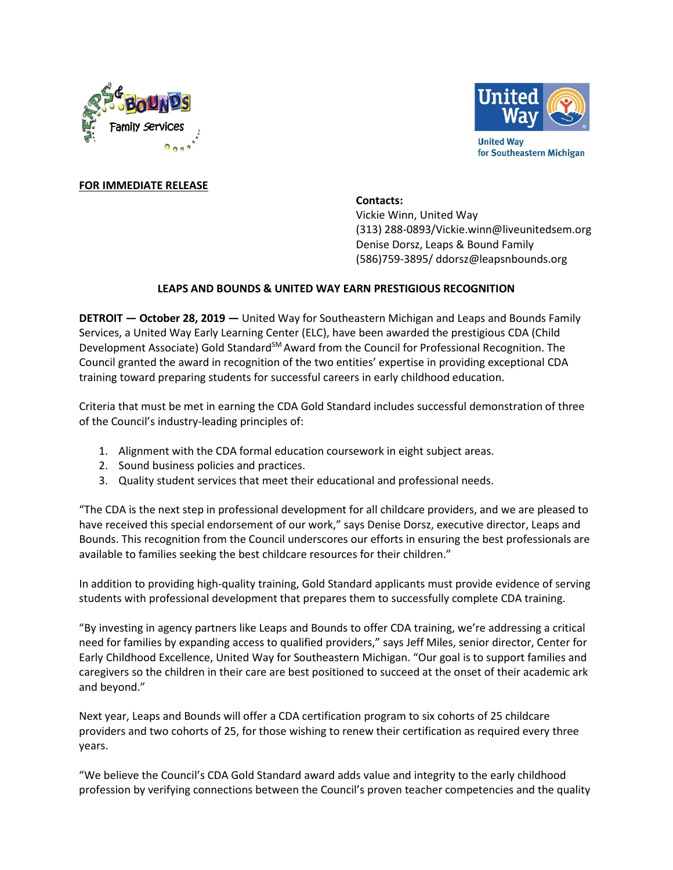



# **FOR IMMEDIATE RELEASE**

# **Contacts:**

Vickie Winn, United Way (313) 288-0893/Vickie.winn@liveunitedsem.org Denise Dorsz, Leaps & Bound Family (586)759-3895/ ddorsz@leapsnbounds.org

# **LEAPS AND BOUNDS & UNITED WAY EARN PRESTIGIOUS RECOGNITION**

**DETROIT — October 28, 2019 —** United Way for Southeastern Michigan and Leaps and Bounds Family Services, a United Way Early Learning Center (ELC), have been awarded the prestigious CDA (Child Development Associate) Gold Standard<sup>SM</sup> Award from the Council for Professional Recognition. The Council granted the award in recognition of the two entities' expertise in providing exceptional CDA training toward preparing students for successful careers in early childhood education.

Criteria that must be met in earning the CDA Gold Standard includes successful demonstration of three of the Council's industry-leading principles of:

- 1. Alignment with the CDA formal education coursework in eight subject areas.
- 2. Sound business policies and practices.
- 3. Quality student services that meet their educational and professional needs.

"The CDA is the next step in professional development for all childcare providers, and we are pleased to have received this special endorsement of our work," says Denise Dorsz, executive director, Leaps and Bounds. This recognition from the Council underscores our efforts in ensuring the best professionals are available to families seeking the best childcare resources for their children."

In addition to providing high-quality training, Gold Standard applicants must provide evidence of serving students with professional development that prepares them to successfully complete CDA training.

"By investing in agency partners like Leaps and Bounds to offer CDA training, we're addressing a critical need for families by expanding access to qualified providers," says Jeff Miles, senior director, Center for Early Childhood Excellence, United Way for Southeastern Michigan. "Our goal is to support families and caregivers so the children in their care are best positioned to succeed at the onset of their academic ark and beyond."

Next year, Leaps and Bounds will offer a CDA certification program to six cohorts of 25 childcare providers and two cohorts of 25, for those wishing to renew their certification as required every three years.

"We believe the Council's CDA Gold Standard award adds value and integrity to the early childhood profession by verifying connections between the Council's proven teacher competencies and the quality